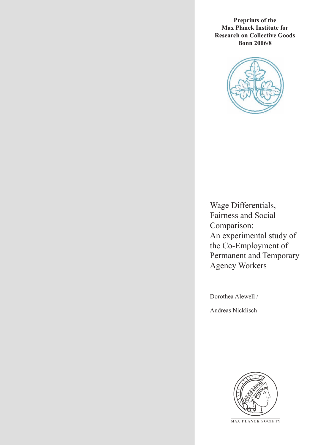**Preprints of the Max Planck Institute for Research on Collective Goods Bonn 2006/8**



Wage Differentials, Fairness and Social Comparison: An experimental study of the Co-Employment of Permanent and Temporary Agency Workers

Dorothea Alewell /

Andreas Nicklisch



**M AX P L A N C K S O C I E T Y**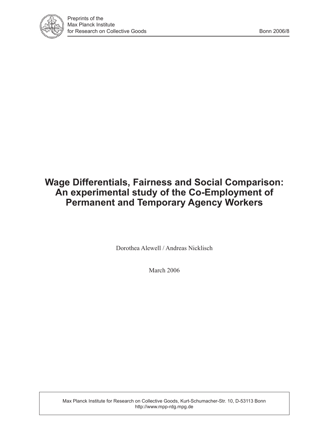

# **Wage Differentials, Fairness and Social Comparison: An experimental study of the Co-Employment of Permanent and Temporary Agency Workers**

Dorothea Alewell / Andreas Nicklisch

March 2006

Max Planck Institute for Research on Collective Goods, Kurt-Schumacher-Str. 10, D-53113 Bonn http://www.mpp-rdg.mpg.de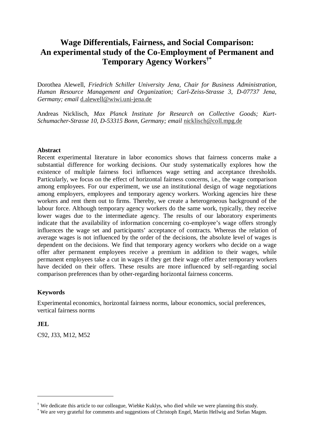## **Wage Differentials, Fairness, and Social Comparison: An experimental study of the Co-Employment of Permanent and Temporary Agency Workers†\***

Dorothea Alewell, *Friedrich Schiller University Jena, Chair for Business Administration, Human Resource Management and Organization; Carl-Zeiss-Strasse 3, D-07737 Jena, Germany; email* d.alewell@wiwi.uni-jena.de

Andreas Nicklisch, *Max Planck Institute for Research on Collective Goods; Kurt-Schumacher-Strasse 10, D-53315 Bonn, Germany; email* nicklisch@coll.mpg.de

## **Abstract**

Recent experimental literature in labor economics shows that fairness concerns make a substantial difference for working decisions. Our study systematically explores how the existence of multiple fairness foci influences wage setting and acceptance thresholds. Particularly, we focus on the effect of horizontal fairness concerns, i.e., the wage comparison among employees. For our experiment, we use an institutional design of wage negotiations among employers, employees and temporary agency workers. Working agencies hire these workers and rent them out to firms. Thereby, we create a heterogeneous background of the labour force. Although temporary agency workers do the same work, typically, they receive lower wages due to the intermediate agency. The results of our laboratory experiments indicate that the availability of information concerning co-employee's wage offers strongly influences the wage set and participants' acceptance of contracts. Whereas the relation of average wages is not influenced by the order of the decisions, the absolute level of wages is dependent on the decisions. We find that temporary agency workers who decide on a wage offer after permanent employees receive a premium in addition to their wages, while permanent employees take a cut in wages if they get their wage offer after temporary workers have decided on their offers. These results are more influenced by self-regarding social comparison preferences than by other-regarding horizontal fairness concerns.

## **Keywords**

Experimental economics, horizontal fairness norms, labour economics, social preferences, vertical fairness norms

## **JEL**

 $\overline{a}$ 

C92, J33, M12, M52

<sup>†</sup> We dedicate this article to our colleague, Wiebke Kuklys, who died while we were planning this study.

<sup>\*</sup> We are very grateful for comments and suggestions of Christoph Engel, Martin Hellwig and Stefan Magen.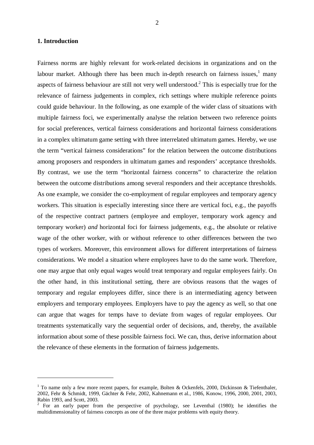#### **1. Introduction**

 $\overline{a}$ 

Fairness norms are highly relevant for work-related decisions in organizations and on the labour market. Although there has been much in-depth research on fairness issues,<sup>1</sup> many aspects of fairness behaviour are still not very well understood.<sup>2</sup> This is especially true for the relevance of fairness judgements in complex, rich settings where multiple reference points could guide behaviour. In the following, as one example of the wider class of situations with multiple fairness foci, we experimentally analyse the relation between two reference points for social preferences, vertical fairness considerations and horizontal fairness considerations in a complex ultimatum game setting with three interrelated ultimatum games. Hereby, we use the term "vertical fairness considerations" for the relation between the outcome distributions among proposers and responders in ultimatum games and responders' acceptance thresholds. By contrast, we use the term "horizontal fairness concerns" to characterize the relation between the outcome distributions among several responders and their acceptance thresholds. As one example, we consider the co-employment of regular employees and temporary agency workers. This situation is especially interesting since there are vertical foci, e.g., the payoffs of the respective contract partners (employee and employer, temporary work agency and temporary worker) *and* horizontal foci for fairness judgements, e.g., the absolute or relative wage of the other worker, with or without reference to other differences between the two types of workers. Moreover, this environment allows for different interpretations of fairness considerations. We model a situation where employees have to do the same work. Therefore, one may argue that only equal wages would treat temporary and regular employees fairly. On the other hand, in this institutional setting, there are obvious reasons that the wages of temporary and regular employees differ, since there is an intermediating agency between employers and temporary employees. Employers have to pay the agency as well, so that one can argue that wages for temps have to deviate from wages of regular employees. Our treatments systematically vary the sequential order of decisions, and, thereby, the available information about some of these possible fairness foci. We can, thus, derive information about the relevance of these elements in the formation of fairness judgements.

<sup>&</sup>lt;sup>1</sup> To name only a few more recent papers, for example, Bolten & Ockenfels, 2000, Dickinson & Tiefenthaler, 2002, Fehr & Schmidt, 1999, Gächter & Fehr, 2002, Kahnemann et al., 1986, Konow, 1996, 2000, 2001, 2003, Rabin 1993, and Scott, 2003.

<sup>&</sup>lt;sup>2</sup> For an early paper from the perspective of psychology, see Leventhal (1980); he identifies the multidimensionality of fairness concepts as one of the three major problems with equity theory.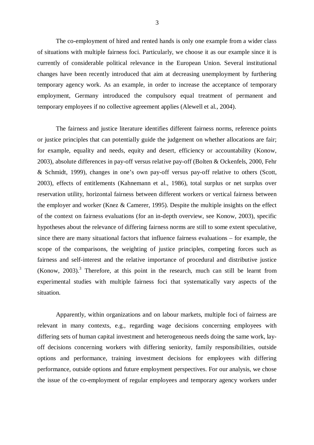The co-employment of hired and rented hands is only one example from a wider class of situations with multiple fairness foci. Particularly, we choose it as our example since it is currently of considerable political relevance in the European Union. Several institutional changes have been recently introduced that aim at decreasing unemployment by furthering temporary agency work. As an example, in order to increase the acceptance of temporary employment, Germany introduced the compulsory equal treatment of permanent and temporary employees if no collective agreement applies (Alewell et al., 2004).

The fairness and justice literature identifies different fairness norms, reference points or justice principles that can potentially guide the judgement on whether allocations are fair; for example, equality and needs, equity and desert, efficiency or accountability (Konow, 2003), absolute differences in pay-off versus relative pay-off (Bolten & Ockenfels, 2000, Fehr & Schmidt, 1999), changes in one's own pay-off versus pay-off relative to others (Scott, 2003), effects of entitlements (Kahnemann et al., 1986), total surplus or net surplus over reservation utility, horizontal fairness between different workers or vertical fairness between the employer and worker (Knez & Camerer, 1995). Despite the multiple insights on the effect of the context on fairness evaluations (for an in-depth overview, see Konow, 2003), specific hypotheses about the relevance of differing fairness norms are still to some extent speculative, since there are many situational factors that influence fairness evaluations – for example, the scope of the comparisons, the weighting of justice principles, competing forces such as fairness and self-interest and the relative importance of procedural and distributive justice  $(Konow, 2003).$ <sup>3</sup> Therefore, at this point in the research, much can still be learnt from experimental studies with multiple fairness foci that systematically vary aspects of the situation.

Apparently, within organizations and on labour markets, multiple foci of fairness are relevant in many contexts, e.g., regarding wage decisions concerning employees with differing sets of human capital investment and heterogeneous needs doing the same work, layoff decisions concerning workers with differing seniority, family responsibilities, outside options and performance, training investment decisions for employees with differing performance, outside options and future employment perspectives. For our analysis, we chose the issue of the co-employment of regular employees and temporary agency workers under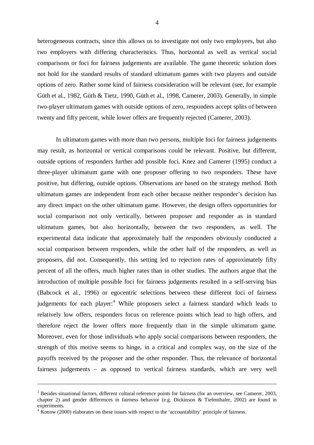heterogeneous contracts, since this allows us to investigate not only two employees, but also two employers with differing characteristics. Thus, horizontal as well as vertical social comparisons or foci for fairness judgements are available. The game theoretic solution does not hold for the standard results of standard ultimatum games with two players and outside options of zero. Rather some kind of fairness consideration will be relevant (see, for example Güth et al., 1982, Güth & Tietz, 1990, Güth et al., 1998, Camerer, 2003). Generally, in simple two-player ultimatum games with outside options of zero, responders accept splits of between twenty and fifty percent, while lower offers are frequently rejected (Camerer, 2003).

In ultimatum games with more than two persons, multiple foci for fairness judgements may result, as horizontal or vertical comparisons could be relevant. Positive, but different, outside options of responders further add possible foci. Knez and Camerer (1995) conduct a three-player ultimatum game with one proposer offering to two responders. These have positive, but differing, outside options. Observations are based on the strategy method. Both ultimatum games are independent from each other because neither responder's decision has any direct impact on the other ultimatum game. However, the design offers opportunities for social comparison not only vertically, between proposer and responder as in standard ultimatum games, but also horizontally, between the two responders, as well. The experimental data indicate that approximately half the responders obviously conducted a social comparison between responders, while the other half of the responders, as well as proposers, did not. Consequently, this setting led to rejection rates of approximately fifty percent of all the offers, much higher rates than in other studies. The authors argue that the introduction of multiple possible foci for fairness judgements resulted in a self-serving bias (Babcock et al., 1996) or egocentric selections between these different foci of fairness judgements for each player:<sup>4</sup> While proposers select a fairness standard which leads to relatively low offers, responders focus on reference points which lead to high offers, and therefore reject the lower offers more frequently than in the simple ultimatum game. Moreover, even for those individuals who apply social comparisons between responders, the strength of this motive seems to hinge, in a critical and complex way, on the size of the payoffs received by the proposer and the other responder. Thus, the relevance of horizontal fairness judgements – as opposed to vertical fairness standards, which are very well

<u>.</u>

<sup>&</sup>lt;sup>3</sup> Besides situational factors, different cultural reference points for fairness (for an overview, see Camerer, 2003, chapter 2) and gender differences in fairness behavior (e.g. Dickinson & Tiefenthaler, 2002) are found in experiments.

 $4 \text{ K}$ onow (2000) elaborates on these issues with respect to the 'accountability' principle of fairness.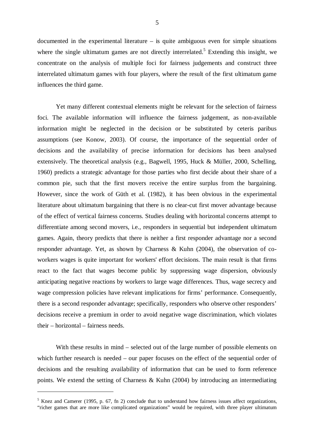documented in the experimental literature – is quite ambiguous even for simple situations where the single ultimatum games are not directly interrelated.<sup>5</sup> Extending this insight, we concentrate on the analysis of multiple foci for fairness judgements and construct three interrelated ultimatum games with four players, where the result of the first ultimatum game influences the third game.

Yet many different contextual elements might be relevant for the selection of fairness foci. The available information will influence the fairness judgement, as non-available information might be neglected in the decision or be substituted by ceteris paribus assumptions (see Konow, 2003). Of course, the importance of the sequential order of decisions and the availability of precise information for decisions has been analysed extensively. The theoretical analysis (e.g., Bagwell, 1995, Huck & Müller, 2000, Schelling, 1960) predicts a strategic advantage for those parties who first decide about their share of a common pie, such that the first movers receive the entire surplus from the bargaining. However, since the work of Güth et al. (1982), it has been obvious in the experimental literature about ultimatum bargaining that there is no clear-cut first mover advantage because of the effect of vertical fairness concerns. Studies dealing with horizontal concerns attempt to differentiate among second movers, i.e., responders in sequential but independent ultimatum games. Again, theory predicts that there is neither a first responder advantage nor a second responder advantage. Yet, as shown by Charness & Kuhn (2004), the observation of coworkers wages is quite important for workers' effort decisions. The main result is that firms react to the fact that wages become public by suppressing wage dispersion, obviously anticipating negative reactions by workers to large wage differences. Thus, wage secrecy and wage compression policies have relevant implications for firms' performance. Consequently, there is a second responder advantage; specifically, responders who observe other responders' decisions receive a premium in order to avoid negative wage discrimination, which violates their – horizontal – fairness needs.

With these results in mind – selected out of the large number of possible elements on which further research is needed – our paper focuses on the effect of the sequential order of decisions and the resulting availability of information that can be used to form reference points. We extend the setting of Charness & Kuhn (2004) by introducing an intermediating

 $\overline{a}$ 

<sup>&</sup>lt;sup>5</sup> Knez and Camerer (1995, p. 67, fn 2) conclude that to understand how fairness issues affect organizations, "richer games that are more like complicated organizations" would be required, with three player ultimatum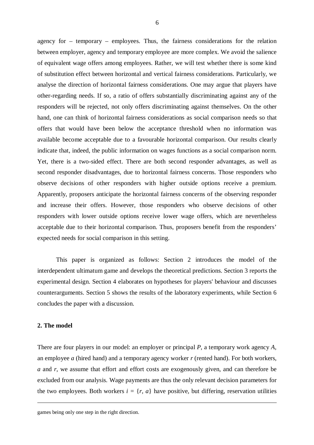agency for – temporary – employees. Thus, the fairness considerations for the relation between employer, agency and temporary employee are more complex. We avoid the salience of equivalent wage offers among employees. Rather, we will test whether there is some kind of substitution effect between horizontal and vertical fairness considerations. Particularly, we analyse the direction of horizontal fairness considerations. One may argue that players have other-regarding needs. If so, a ratio of offers substantially discriminating against any of the responders will be rejected, not only offers discriminating against themselves. On the other hand, one can think of horizontal fairness considerations as social comparison needs so that offers that would have been below the acceptance threshold when no information was available become acceptable due to a favourable horizontal comparison. Our results clearly indicate that, indeed, the public information on wages functions as a social comparison norm. Yet, there is a two-sided effect. There are both second responder advantages, as well as second responder disadvantages, due to horizontal fairness concerns. Those responders who observe decisions of other responders with higher outside options receive a premium. Apparently, proposers anticipate the horizontal fairness concerns of the observing responder and increase their offers. However, those responders who observe decisions of other responders with lower outside options receive lower wage offers, which are nevertheless acceptable due to their horizontal comparison. Thus, proposers benefit from the responders' expected needs for social comparison in this setting.

This paper is organized as follows: Section 2 introduces the model of the interdependent ultimatum game and develops the theoretical predictions. Section 3 reports the experimental design. Section 4 elaborates on hypotheses for players' behaviour and discusses counterarguments. Section 5 shows the results of the laboratory experiments, while Section 6 concludes the paper with a discussion.

#### **2. The model**

<u>.</u>

There are four players in our model: an employer or principal *P*, a temporary work agency *A*, an employee *a* (hired hand) and a temporary agency worker *r* (rented hand). For both workers, *a* and *r*, we assume that effort and effort costs are exogenously given, and can therefore be excluded from our analysis. Wage payments are thus the only relevant decision parameters for the two employees. Both workers  $i = \{r, a\}$  have positive, but differing, reservation utilities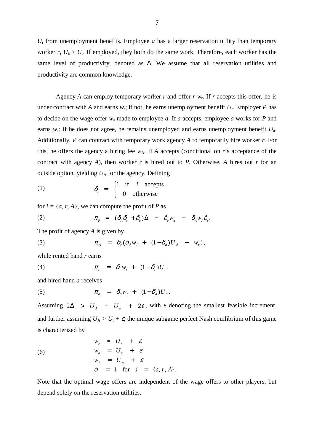$U_i$  from unemployment benefits. Employee *a* has a larger reservation utility than temporary worker  $r$ ,  $U_a > U_r$ . If employed, they both do the same work. Therefore, each worker has the same level of productivity, denoted as ∆. We assume that all reservation utilities and productivity are common knowledge.

Agency *A* can employ temporary worker *r* and offer *r*  $w_r$ . If *r* accepts this offer, he is under contract with *A* and earns  $w_r$ ; if not, he earns unemployment benefit  $U_r$ . Employer *P* has to decide on the wage offer *w*a made to employee *a*. If *a* accepts, employee *a* works for *P* and earns *w*a; if he does not agree, he remains unemployed and earns unemployment benefit *U*a. Additionally, *P* can contract with temporary work agency *A* to temporarily hire worker *r*. For this, he offers the agency a hiring fee  $w_A$ . If *A* accepts (conditional on *r*'s acceptance of the contract with agency *A*), then worker *r* is hired out to *P*. Otherwise, *A* hires out *r* for an outside option, yielding  $U_A$  for the agency. Defining

(1) 
$$
\delta_i = \begin{cases} 1 & \text{if } i \text{ accepts} \\ 0 & \text{otherwise} \end{cases}
$$

for  $i = \{a, r, A\}$ , we can compute the profit of *P* as

(2) 
$$
\pi_{P} = (\delta_{A}\delta_{r} + \delta_{a})\Delta - \delta_{a}W_{a} - \delta_{A}W_{A}\delta_{r}.
$$

The profit of agency *A* is given by

(3) 
$$
\pi_A = \delta_r(\delta_A w_A + (1 - \delta_a)U_A - w_r),
$$

while rented hand *r* earns

$$
\pi_r = \delta_r w_r + (1 - \delta_r) U_r,
$$

and hired hand *a* receives

(5) 
$$
\pi_a = \delta_a w_a + (1 - \delta_a) U_a.
$$

Assuming  $2\Delta > U_A + U_a + 2\varepsilon$ , with  $\varepsilon$  denoting the smallest feasible increment, and further assuming  $U_A > U_r + \varepsilon$ , the unique subgame perfect Nash equilibrium of this game is characterized by

(6)  
\n
$$
w_r = U_r + \varepsilon
$$
\n
$$
w_a = U_a + \varepsilon
$$
\n
$$
w_A = U_A + \varepsilon
$$
\n
$$
\delta_i = 1 \text{ for } i = \{a, r, A\}.
$$

Note that the optimal wage offers are independent of the wage offers to other players, but depend solely on the reservation utilities.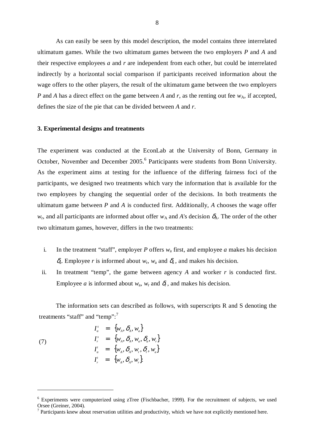As can easily be seen by this model description, the model contains three interrelated ultimatum games. While the two ultimatum games between the two employers *P* and *A* and their respective employees *a* and *r* are independent from each other, but could be interrelated indirectly by a horizontal social comparison if participants received information about the wage offers to the other players, the result of the ultimatum game between the two employers *P* and *A* has a direct effect on the game between *A* and *r*, as the renting out fee  $w_A$ , if accepted, defines the size of the pie that can be divided between *A* and *r*.

#### **3. Experimental designs and treatments**

The experiment was conducted at the EconLab at the University of Bonn, Germany in October, November and December 2005.<sup>6</sup> Participants were students from Bonn University. As the experiment aims at testing for the influence of the differing fairness foci of the participants, we designed two treatments which vary the information that is available for the two employees by changing the sequential order of the decisions. In both treatments the ultimatum game between *P* and *A* is conducted first. Additionally, *A* chooses the wage offer  $w_r$ , and all participants are informed about offer  $w_A$  and *A*'s decision  $\delta_A$ . The order of the other two ultimatum games, however, differs in the two treatments:

- i. In the treatment "staff", employer *P* offers  $w_a$  first, and employee *a* makes his decision  $\delta_a$ . Employee *r* is informed about  $w_r$ ,  $w_a$  and  $\delta_a$ , and makes his decision.
- ii. In treatment "temp", the game between agency *A* and worker *r* is conducted first. Employee *a* is informed about  $w_a$ ,  $w_r$  and  $\delta$ <sub>r</sub>, and makes his decision.

The information sets can described as follows, with superscripts R and S denoting the treatments "staff" and "temp":<sup>7</sup>

$$
I_a^s = \{w_A, \delta_A, w_a\}
$$
  
\n
$$
I_r^s = \{w_A, \delta_A, w_a, \delta_a, w_r\}
$$
  
\n
$$
I_a^t = \{w_A, \delta_A, w_r, \delta_r, w_a\}
$$
  
\n
$$
I_r^t = \{w_A, \delta_A, w_r\}.
$$

(7)

 $\overline{a}$ 

<sup>&</sup>lt;sup>6</sup> Experiments were computerized using zTree (Fischbacher, 1999). For the recruitment of subjects, we used Orsee (Greiner, 2004).

 $<sup>7</sup>$  Participants knew about reservation utilities and productivity, which we have not explicitly mentioned here.</sup>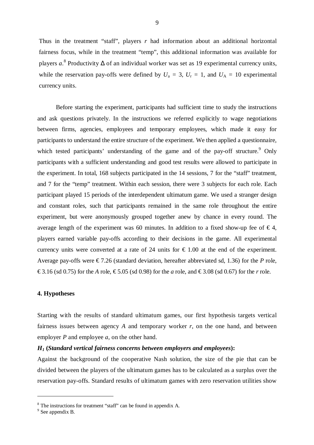Thus in the treatment "staff", players *r* had information about an additional horizontal fairness focus, while in the treatment "temp", this additional information was available for players *a*.<sup>8</sup> Productivity ∆ of an individual worker was set as 19 experimental currency units, while the reservation pay-offs were defined by  $U_a = 3$ ,  $U_r = 1$ , and  $U_A = 10$  experimental currency units.

Before starting the experiment, participants had sufficient time to study the instructions and ask questions privately. In the instructions we referred explicitly to wage negotiations between firms, agencies, employees and temporary employees, which made it easy for participants to understand the entire structure of the experiment. We then applied a questionnaire, which tested participants' understanding of the game and of the pay-off structure.<sup>9</sup> Only participants with a sufficient understanding and good test results were allowed to participate in the experiment. In total, 168 subjects participated in the 14 sessions, 7 for the "staff" treatment, and 7 for the "temp" treatment. Within each session, there were 3 subjects for each role. Each participant played 15 periods of the interdependent ultimatum game. We used a stranger design and constant roles, such that participants remained in the same role throughout the entire experiment, but were anonymously grouped together anew by chance in every round. The average length of the experiment was 60 minutes. In addition to a fixed show-up fee of  $\in$  4, players earned variable pay-offs according to their decisions in the game. All experimental currency units were converted at a rate of 24 units for  $\epsilon$  1.00 at the end of the experiment. Average pay-offs were  $\epsilon$  7.26 (standard deviation, hereafter abbreviated sd, 1.36) for the *P* role, € 3.16 (sd 0.75) for the *A* role, € 5.05 (sd 0.98) for the *a* role, and € 3.08 (sd 0.67) for the *r* role.

#### **4. Hypotheses**

Starting with the results of standard ultimatum games, our first hypothesis targets vertical fairness issues between agency  $A$  and temporary worker  $r$ , on the one hand, and between employer *P* and employee *a*, on the other hand.

#### *H<sup>1</sup>* **(***Standard vertical fairness concerns between employers and employees***):**

Against the background of the cooperative Nash solution, the size of the pie that can be divided between the players of the ultimatum games has to be calculated as a surplus over the reservation pay-offs. Standard results of ultimatum games with zero reservation utilities show

l

<sup>&</sup>lt;sup>8</sup> The instructions for treatment "staff" can be found in appendix A.

 $9^9$  See appendix B.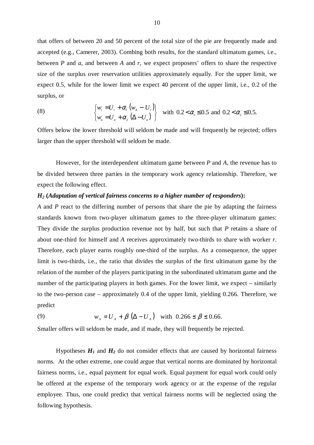that offers of between 20 and 50 percent of the total size of the pie are frequently made and accepted (e.g., Camerer, 2003). Combing both results, for the standard ultimatum games, i.e., between *P* and *a*, and between *A* and *r*, we expect proposers' offers to share the respective size of the surplus over reservation utilities approximately equally. For the upper limit, we expect 0.5, while for the lower limit we expect 40 percent of the upper limit, i.e., 0.2 of the surplus, or

(8) 
$$
\begin{cases} w_r = U_r + \alpha_1 (w_A - U_r) \\ w_a = U_a + \alpha_2 (\Delta - U_a) \end{cases}
$$
 with  $0.2 < \alpha_1 \le 0.5$  and  $0.2 < \alpha_2 \le 0.5$ .

Offers below the lower threshold will seldom be made and will frequently be rejected; offers larger than the upper threshold will seldom be made.

However, for the interdependent ultimatum game between *P* and *A*, the revenue has to be divided between three parties in the temporary work agency relationship. Therefore, we expect the following effect.

#### *H<sup>2</sup>* **(***Adaptation of vertical fairness concerns to a higher number of responders***):**

*A* and *P* react to the differing number of persons that share the pie by adapting the fairness standards known from two-player ultimatum games to the three-player ultimatum games: They divide the surplus production revenue not by half, but such that *P* retains a share of about one-third for himself and *A* receives approximately two-thirds to share with worker *r*. Therefore, each player earns roughly one-third of the surplus. As a consequence, the upper limit is two-thirds, i.e., the ratio that divides the surplus of the first ultimatum game by the relation of the number of the players participating in the subordinated ultimatum game and the number of the participating players in both games. For the lower limit, we expect – similarly to the two-person case – approximately 0.4 of the upper limit, yielding 0.266. Therefore, we predict

(9) 
$$
w_A = U_A + \beta (\Delta - U_A)
$$
 with  $0.266 \le \beta \le 0.66$ .

Smaller offers will seldom be made, and if made, they will frequently be rejected.

Hypotheses  $H_1$  and  $H_2$  do not consider effects that are caused by horizontal fairness norms. At the other extreme, one could argue that vertical norms are dominated by horizontal fairness norms, i.e., equal payment for equal work. Equal payment for equal work could only be offered at the expense of the temporary work agency or at the expense of the regular employee. Thus, one could predict that vertical fairness norms will be neglected using the following hypothesis.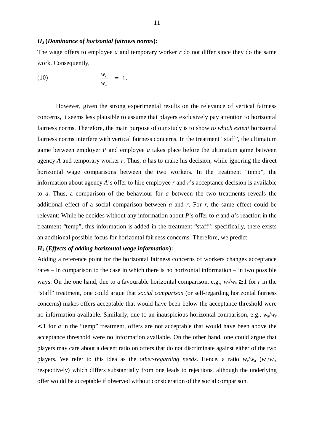#### *H<sup>3</sup>* **(***Dominance of horizontal fairness norms***):**

The wage offers to employee *a* and temporary worker *r* do not differ since they do the same work. Consequently,

$$
\frac{w_r}{w_a} = 1.
$$

However, given the strong experimental results on the relevance of vertical fairness concerns, it seems less plausible to assume that players exclusively pay attention to horizontal fairness norms. Therefore, the main purpose of our study is to show *to which extent* horizontal fairness norms interfere with vertical fairness concerns. In the treatment "staff", the ultimatum game between employer *P* and employee *a* takes place before the ultimatum game between agency *A* and temporary worker *r*. Thus, *a* has to make his decision, while ignoring the direct horizontal wage comparisons between the two workers. In the treatment "temp", the information about agency *A*'s offer to hire employee *r* and *r*'s acceptance decision is available to *a*. Thus, a comparison of the behaviour for *a* between the two treatments reveals the additional effect of a social comparison between *a* and *r*. For *r*, the same effect could be relevant: While he decides without any information about *P*'s offer to *a* and *a*'s reaction in the treatment "temp", this information is added in the treatment "staff": specifically, there exists an additional possible focus for horizontal fairness concerns. Therefore, we predict

#### *H4* **(***Effects of adding horizontal wage information***):**

Adding a reference point for the horizontal fairness concerns of workers changes acceptance rates – in comparison to the case in which there is no horizontal information – in two possible ways: On the one hand, due to a favourable horizontal comparison, e.g.,  $w_r/w_a \ge 1$  for *r* in the "staff" treatment, one could argue that *social comparison* (or self-regarding horizontal fairness concerns) makes offers acceptable that would have been below the acceptance threshold were no information available. Similarly, due to an inauspicious horizontal comparison, e.g., *w*a/*w*<sup>r</sup> < 1 for *a* in the "temp" treatment, offers are not acceptable that would have been above the acceptance threshold were no information available. On the other hand, one could argue that players may care about a decent ratio on offers that do not discriminate against either of the two players. We refer to this idea as the *other-regarding needs*. Hence, a ratio  $w_r/w_a$  ( $w_a/w_r$ , respectively) which differs substantially from one leads to rejections, although the underlying offer would be acceptable if observed without consideration of the social comparison.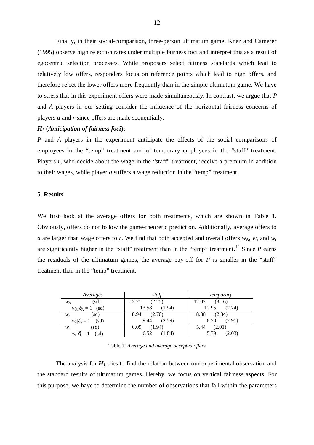Finally, in their social-comparison, three-person ultimatum game, Knez and Camerer (1995) observe high rejection rates under multiple fairness foci and interpret this as a result of egocentric selection processes. While proposers select fairness standards which lead to relatively low offers, responders focus on reference points which lead to high offers, and therefore reject the lower offers more frequently than in the simple ultimatum game. We have to stress that in this experiment offers were made simultaneously. In contrast, we argue that *P* and *A* players in our setting consider the influence of the horizontal fairness concerns of players *a* and *r* since offers are made sequentially.

## *H5* **(***Anticipation of fairness foci***):**

*P* and *A* players in the experiment anticipate the effects of the social comparisons of employees in the "temp" treatment and of temporary employees in the "staff" treatment. Players r, who decide about the wage in the "staff" treatment, receive a premium in addition to their wages, while player *a* suffers a wage reduction in the "temp" treatment.

#### **5. Results**

We first look at the average offers for both treatments, which are shown in Table 1. Obviously, offers do not follow the game-theoretic prediction. Additionally, average offers to *a* are larger than wage offers to *r*. We find that both accepted and overall offers  $w_A$ ,  $w_a$  and  $w_r$ are significantly higher in the "staff" treatment than in the "temp" treatment.<sup>10</sup> Since  $P$  earns the residuals of the ultimatum games, the average pay-off for  $P$  is smaller in the "staff" treatment than in the "temp" treatment.

| Averages                          | staff           | temporary       |
|-----------------------------------|-----------------|-----------------|
| (sd)                              | 13.21           | 12.02           |
| $W_{\rm A}$                       | (2.25)          | (3.16)          |
| $w_{\rm A} \delta_{\rm A}=1$ (sd) | 13.58<br>(1.94) | 12.95<br>(2.74) |
| (sd)                              | 8.94            | 8.38            |
| $W_{\rm a}$                       | (2.70)          | (2.84)          |
| $w_a\vert\delta_a=1$              | 9.44            | 8.70            |
| (sd)                              | (2.59)          | (2.91)          |
| (sd)                              | 6.09            | (2.01)          |
| $W_{\rm r}$                       | (1.94)          | 5.44            |
| $w_{\rm r} \delta \hat{\delta}=1$ | 6.52            | (2.03)          |
| (sd)                              | (1.84)          | 5.79            |

Table 1: *Average and average accepted offers* 

The analysis for  $H<sub>I</sub>$  tries to find the relation between our experimental observation and the standard results of ultimatum games. Hereby, we focus on vertical fairness aspects. For this purpose, we have to determine the number of observations that fall within the parameters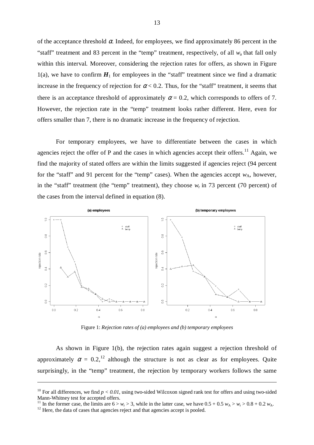of the acceptance threshold  $\alpha$ . Indeed, for employees, we find approximately 86 percent in the "staff" treatment and 83 percent in the "temp" treatment, respectively, of all *w*a that fall only within this interval. Moreover, considering the rejection rates for offers, as shown in Figure 1(a), we have to confirm  $H_1$  for employees in the "staff" treatment since we find a dramatic increase in the frequency of rejection for  $\alpha < 0.2$ . Thus, for the "staff" treatment, it seems that there is an acceptance threshold of approximately  $\alpha = 0.2$ , which corresponds to offers of 7. However, the rejection rate in the "temp" treatment looks rather different. Here, even for offers smaller than 7, there is no dramatic increase in the frequency of rejection.

For temporary employees, we have to differentiate between the cases in which agencies reject the offer of P and the cases in which agencies accept their offers.<sup>11</sup> Again, we find the majority of stated offers are within the limits suggested if agencies reject (94 percent for the "staff" and 91 percent for the "temp" cases). When the agencies accept  $w_A$ , however, in the "staff" treatment (the "temp" treatment), they choose  $w_r$  in 73 percent (70 percent) of the cases from the interval defined in equation (8).



Figure 1: *Rejection rates of (a) employees and (b) temporary employees*

As shown in Figure 1(b), the rejection rates again suggest a rejection threshold of approximately  $\alpha = 0.2$ ,<sup>12</sup> although the structure is not as clear as for employees. Quite surprisingly, in the "temp" treatment, the rejection by temporary workers follows the same

<sup>11</sup> In the former case, the limits are  $6 > w_r > 3$ , while in the latter case, we have  $0.5 + 0.5 w_A > w_r > 0.8 + 0.2 w_A$ .

-

<sup>&</sup>lt;sup>10</sup> For all differences, we find  $p < 0.01$ , using two-sided Wilcoxon signed rank test for offers and using two-sided Mann-Whitney test for accepted offers.

 $12$  Here, the data of cases that agencies reject and that agencies accept is pooled.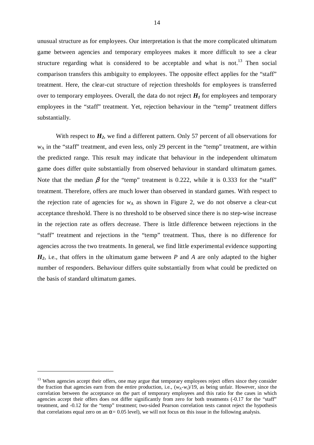unusual structure as for employees. Our interpretation is that the more complicated ultimatum game between agencies and temporary employees makes it more difficult to see a clear structure regarding what is considered to be acceptable and what is not.<sup>13</sup> Then social comparison transfers this ambiguity to employees. The opposite effect applies for the "staff" treatment. Here, the clear-cut structure of rejection thresholds for employees is transferred over to temporary employees. Overall, the data do not reject  $H_I$  for employees and temporary employees in the "staff" treatment. Yet, rejection behaviour in the "temp" treatment differs substantially.

With respect to  $H_2$ , we find a different pattern. Only 57 percent of all observations for *w*A in the "staff" treatment, and even less, only 29 percent in the "temp" treatment, are within the predicted range. This result may indicate that behaviour in the independent ultimatum game does differ quite substantially from observed behaviour in standard ultimatum games. Note that the median  $\beta$  for the "temp" treatment is 0.222, while it is 0.333 for the "staff" treatment. Therefore, offers are much lower than observed in standard games. With respect to the rejection rate of agencies for  $w_A$  as shown in Figure 2, we do not observe a clear-cut acceptance threshold. There is no threshold to be observed since there is no step-wise increase in the rejection rate as offers decrease. There is little difference between rejections in the "staff" treatment and rejections in the "temp" treatment. Thus, there is no difference for agencies across the two treatments. In general, we find little experimental evidence supporting *H2*, i.e., that offers in the ultimatum game between *P* and *A* are only adapted to the higher number of responders. Behaviour differs quite substantially from what could be predicted on the basis of standard ultimatum games.

 $\overline{a}$ 

<sup>&</sup>lt;sup>13</sup> When agencies accept their offers, one may argue that temporary employees reject offers since they consider the fraction that agencies earn from the entire production, i.e.,  $(w_A-w_r)/19$ , as being unfair. However, since the correlation between the acceptance on the part of temporary employees and this ratio for the cases in which agencies accept their offers does not differ significantly from zero for both treatments (-0.17 for the "staff" treatment, and -0.12 for the "temp" treatment; two-sided Pearson correlation tests cannot reject the hypothesis that correlations equal zero on an  $\alpha$ = 0.05 level), we will not focus on this issue in the following analysis.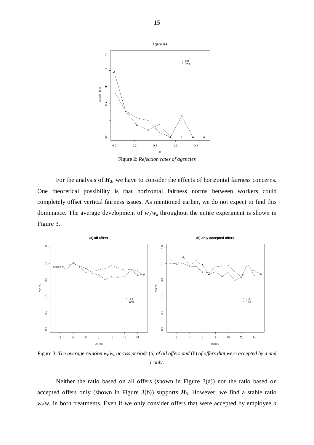

Figure 2: *Rejection rates of agencies* 

For the analysis of  $H_3$ , we have to consider the effects of horizontal fairness concerns. One theoretical possibility is that horizontal fairness norms between workers could completely offset vertical fairness issues. As mentioned earlier, we do not expect to find this dominance. The average development of  $w_r/w_a$  throughout the entire experiment is shown in Figure 3.



Figure 3: *The average relation w*<sup>r</sup> /*w*a *across periods* (a) *of all offers and* (b) *of offers that were accepted by a and r only*.

Neither the ratio based on all offers (shown in Figure 3(a)) nor the ratio based on accepted offers only (shown in Figure 3(b)) supports  $H_3$ . However, we find a stable ratio  $w_r/w_a$  in both treatments. Even if we only consider offers that were accepted by employee *a*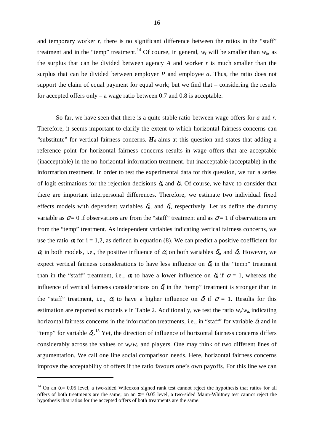and temporary worker  $r$ , there is no significant difference between the ratios in the "staff" treatment and in the "temp" treatment.<sup>14</sup> Of course, in general,  $w_r$  will be smaller than  $w_a$ , as the surplus that can be divided between agency *A* and worker *r* is much smaller than the surplus that can be divided between employer *P* and employee *a*. Thus, the ratio does not support the claim of equal payment for equal work; but we find that – considering the results for accepted offers only – a wage ratio between  $0.7$  and  $0.8$  is acceptable.

So far, we have seen that there is a quite stable ratio between wage offers for *a* and *r*. Therefore, it seems important to clarify the extent to which horizontal fairness concerns can "substitute" for vertical fairness concerns.  $H_4$  aims at this question and states that adding a reference point for horizontal fairness concerns results in wage offers that are acceptable (inacceptable) in the no-horizontal-information treatment, but inacceptable (acceptable) in the information treatment. In order to test the experimental data for this question, we run a series of logit estimations for the rejection decisions  $\delta_a$  and  $\delta_c$ . Of course, we have to consider that there are important interpersonal differences. Therefore, we estimate two individual fixed effects models with dependent variables  $\delta_a$ , and  $\delta_f$ , respectively. Let us define the dummy variable as  $\sigma = 0$  if observations are from the "staff" treatment and as  $\sigma = 1$  if observations are from the "temp" treatment. As independent variables indicating vertical fairness concerns, we use the ratio  $\alpha_i$  for i = 1,2, as defined in equation (8). We can predict a positive coefficient for  $\alpha_i$  in both models, i.e., the positive influence of  $\alpha_i$  on both variables  $\delta_a$ , and  $\delta_c$ . However, we expect vertical fairness considerations to have less influence on  $\delta_a$  in the "temp" treatment than in the "staff" treatment, i.e.,  $\alpha_i$  to have a lower influence on  $\delta_i$  if  $\sigma = 1$ , whereas the influence of vertical fairness considerations on  $\delta$  in the "temp" treatment is stronger than in the "staff" treatment, i.e.,  $\alpha_i$  to have a higher influence on  $\delta_i$  if  $\sigma = 1$ . Results for this estimation are reported as models *v* in Table 2. Additionally, we test the ratio  $w_r/w_a$ , indicating horizontal fairness concerns in the information treatments, i.e., in "staff" for variable  $\delta_t$  and in "temp" for variable  $\delta_{a}$ <sup>15</sup> Yet, the direction of influence of horizontal fairness concerns differs considerably across the values of  $w_r/w_a$  and players. One may think of two different lines of argumentation. We call one line social comparison needs. Here, horizontal fairness concerns improve the acceptability of offers if the ratio favours one's own payoffs. For this line we can

l

<sup>&</sup>lt;sup>14</sup> On an  $\alpha$  = 0.05 level, a two-sided Wilcoxon signed rank test cannot reject the hypothesis that ratios for all offers of both treatments are the same; on an  $\alpha$  = 0.05 level, a two-sided Mann-Whitney test cannot reject the hypothesis that ratios for the accepted offers of both treatments are the same.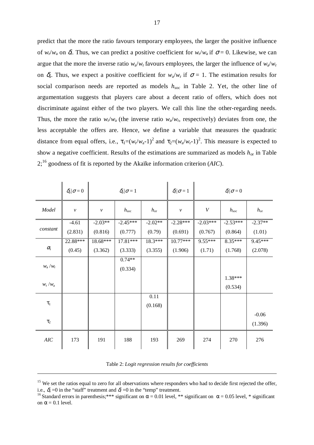predict that the more the ratio favours temporary employees, the larger the positive influence of  $w_r/w_a$  on  $\delta$ . Thus, we can predict a positive coefficient for  $w_r/w_a$  if  $\sigma = 0$ . Likewise, we can argue that the more the inverse ratio  $w_a/w_r$  favours employees, the larger the influence of  $w_a/w_r$ on  $\delta_a$ . Thus, we expect a positive coefficient for  $w_a/w_r$  if  $\sigma = 1$ . The estimation results for social comparison needs are reported as models *h*soc in Table 2. Yet, the other line of argumentation suggests that players care about a decent ratio of offers, which does not discriminate against either of the two players. We call this line the other-regarding needs. Thus, the more the ratio  $w_r/w_a$  (the inverse ratio  $w_a/w_r$ , respectively) deviates from one, the less acceptable the offers are. Hence, we define a variable that measures the quadratic distance from equal offers, i.e.,  $\tau_1=(w_r/w_a-1)^2$  and  $\tau_2=(w_a/w_r-1)^2$ . This measure is expected to show a negative coefficient. Results of the estimations are summarized as models *h*or in Table 2;<sup>16</sup> goodness of fit is reported by the Akaïke information criterion (*AIC*).

|                       | $\delta_a/\sigma=0$ |                    | $\delta_a/\sigma=1$ |              | $\delta_{r}/\sigma=1$ |            | $\delta_r/\sigma=0$ |              |
|-----------------------|---------------------|--------------------|---------------------|--------------|-----------------------|------------|---------------------|--------------|
| Model                 | $\boldsymbol{\nu}$  | $\boldsymbol{\nu}$ | $h_{\rm soc}$       | $h_{\rm or}$ | $\mathcal V$          | V          | $h_{\rm soc}$       | $h_{\rm or}$ |
| constant              | $-4.61$             | $-2.03**$          | $-2.45***$          | $-2.02**$    | $-2.28***$            | $-2.03***$ | $-2.53***$          | $-2.37**$    |
|                       | (2.831)             | (0.816)            | (0.777)             | (0.79)       | (0.691)               | (0.767)    | (0.864)             | (1.01)       |
|                       | 22.88***            | 18.68***           | 17.81***            | 18.3***      | $10.77***$            | $9.55***$  | $8.35***$           | $9.45***$    |
| $\alpha_{\rm i}$      | (0.45)              | (3.362)            | (3.333)             | (3.355)      | (1.906)               | (1.71)     | (1.768)             | (2.078)      |
| $w_{\rm a}/w_{\rm r}$ |                     |                    | $0.74**$            |              |                       |            |                     |              |
|                       |                     |                    | (0.334)             |              |                       |            |                     |              |
|                       |                     |                    |                     |              |                       |            | $1.38***$           |              |
| $w_{\rm r}/w_{\rm a}$ |                     |                    |                     |              |                       |            | (0.534)             |              |
| $\tau_{1}$            |                     |                    |                     | 0.11         |                       |            |                     |              |
|                       |                     |                    | (0.168)             |              |                       |            |                     |              |
|                       |                     |                    |                     |              |                       |            |                     | $-0.06$      |
| $\tau_2$              |                     |                    |                     |              |                       |            |                     | (1.396)      |
| $AIC$                 | 173                 | 191                | 188                 | 193          | 269                   | 274        | 270                 | 276          |

|  |  | Table 2: Logit regression results for coefficients |
|--|--|----------------------------------------------------|
|  |  |                                                    |

-

<sup>&</sup>lt;sup>15</sup> We set the ratios equal to zero for all observations where responders who had to decide first rejected the offer, i.e.,  $\delta_a = 0$  in the "staff" treatment and  $\delta_f = 0$  in the "temp" treatment.

<sup>&</sup>lt;sup>16</sup> Standard errors in parenthesis;\*\*\* significant on  $\alpha$  = 0.01 level, \*\* significant on  $\alpha$  = 0.05 level, \* significant on  $\alpha$  = 0.1 level.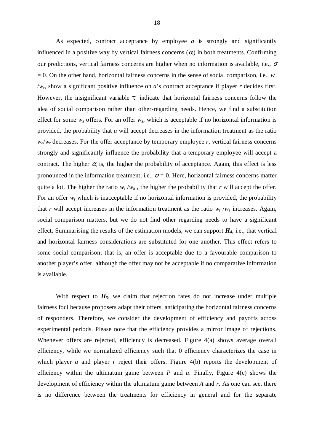As expected, contract acceptance by employee *a* is strongly and significantly influenced in a positive way by vertical fairness concerns  $(\alpha_i)$  in both treatments. Confirming our predictions, vertical fairness concerns are higher when no information is available, i.e.,  $\sigma$  $= 0$ . On the other hand, horizontal fairness concerns in the sense of social comparison, i.e.,  $w_a$ /*w*r, show a significant positive influence on *a*'s contract acceptance if player *r* decides first. However, the insignificant variable  $\tau_1$  indicate that horizontal fairness concerns follow the idea of social comparison rather than other-regarding needs. Hence, we find a substitution effect for some  $w_a$  offers. For an offer  $w_a$ , which is acceptable if no horizontal information is provided, the probability that *a* will accept decreases in the information treatment as the ratio  $w_a/w_r$  decreases. For the offer acceptance by temporary employee *r*, vertical fairness concerns strongly and significantly influence the probability that a temporary employee will accept a contract. The higher  $\alpha_i$  is, the higher the probability of acceptance. Again, this effect is less pronounced in the information treatment, i.e.,  $\sigma = 0$ . Here, horizontal fairness concerns matter quite a lot. The higher the ratio  $w_r / w_a$ , the higher the probability that *r* will accept the offer. For an offer  $w_r$  which is inacceptable if no horizontal information is provided, the probability that *r* will accept increases in the information treatment as the ratio  $w_r / w_a$  increases. Again, social comparison matters, but we do not find other regarding needs to have a significant effect. Summarising the results of the estimation models, we can support  $H_4$ , i.e., that vertical and horizontal fairness considerations are substituted for one another. This effect refers to some social comparison; that is, an offer is acceptable due to a favourable comparison to another player's offer, although the offer may not be acceptable if no comparative information is available.

With respect to  $H_5$ , we claim that rejection rates do not increase under multiple fairness foci because proposers adapt their offers, anticipating the horizontal fairness concerns of responders. Therefore, we consider the development of efficiency and payoffs across experimental periods. Please note that the efficiency provides a mirror image of rejections. Whenever offers are rejected, efficiency is decreased. Figure 4(a) shows average overall efficiency, while we normalized efficiency such that 0 efficiency characterizes the case in which player *a* and player *r* reject their offers. Figure 4(b) reports the development of efficiency within the ultimatum game between  $P$  and  $a$ . Finally, Figure 4(c) shows the development of efficiency within the ultimatum game between *A* and *r*. As one can see, there is no difference between the treatments for efficiency in general and for the separate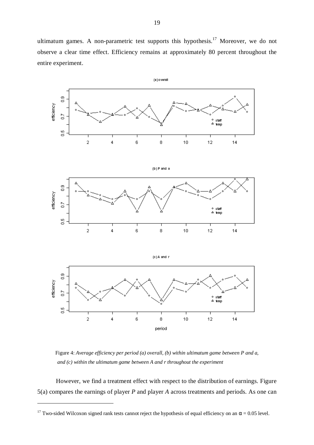ultimatum games. A non-parametric test supports this hypothesis.<sup>17</sup> Moreover, we do not observe a clear time effect. Efficiency remains at approximately 80 percent throughout the entire experiment.



Figure 4: *Average efficiency per period (a) overall, (b) within ultimatum game between P and a, and (c) within the ultimatum game between A and r throughout the experiment* 

However, we find a treatment effect with respect to the distribution of earnings. Figure 5(a) compares the earnings of player *P* and player *A* across treatments and periods. As one can

l

<sup>&</sup>lt;sup>17</sup> Two-sided Wilcoxon signed rank tests cannot reject the hypothesis of equal efficiency on an  $\alpha$  = 0.05 level.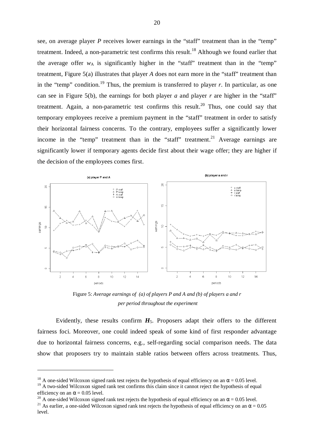see, on average player *P* receives lower earnings in the "staff" treatment than in the "temp" treatment. Indeed, a non-parametric test confirms this result.<sup>18</sup> Although we found earlier that the average offer  $w_A$  is significantly higher in the "staff" treatment than in the "temp" treatment, Figure 5(a) illustrates that player *A* does not earn more in the "staff" treatment than in the "temp" condition.<sup>19</sup> Thus, the premium is transferred to player *r*. In particular, as one can see in Figure 5(b), the earnings for both player *a* and player *r* are higher in the "staff" treatment. Again, a non-parametric test confirms this result.<sup>20</sup> Thus, one could say that temporary employees receive a premium payment in the "staff" treatment in order to satisfy their horizontal fairness concerns. To the contrary, employees suffer a significantly lower income in the "temp" treatment than in the "staff" treatment.<sup>21</sup> Average earnings are significantly lower if temporary agents decide first about their wage offer; they are higher if the decision of the employees comes first.



Figure 5: *Average earnings of (a) of players P and A and (b) of players a and r per period throughout the experiment*

Evidently, these results confirm  $H_5$ . Proposers adapt their offers to the different fairness foci. Moreover, one could indeed speak of some kind of first responder advantage due to horizontal fairness concerns, e.g., self-regarding social comparison needs. The data show that proposers try to maintain stable ratios between offers across treatments. Thus,

l

<sup>&</sup>lt;sup>18</sup> A one-sided Wilcoxon signed rank test rejects the hypothesis of equal efficiency on an  $\alpha$  = 0.05 level.

<sup>&</sup>lt;sup>19</sup> A two-sided Wilcoxon signed rank test confirms this claim since it cannot reject the hypothesis of equal efficiency on an  $\alpha$  = 0.05 level.

<sup>&</sup>lt;sup>20</sup> A one-sided Wilcoxon signed rank test rejects the hypothesis of equal efficiency on an  $\alpha$  = 0.05 level.

<sup>&</sup>lt;sup>21</sup> As earlier, a one-sided Wilcoxon signed rank test rejects the hypothesis of equal efficiency on an  $\alpha$  = 0.05 level.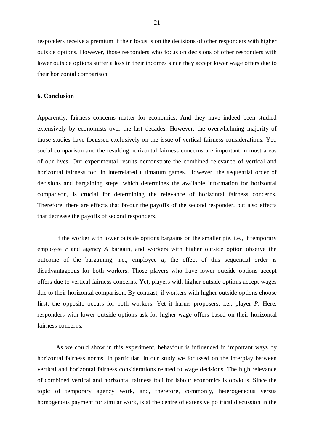responders receive a premium if their focus is on the decisions of other responders with higher outside options. However, those responders who focus on decisions of other responders with lower outside options suffer a loss in their incomes since they accept lower wage offers due to their horizontal comparison.

### **6. Conclusion**

Apparently, fairness concerns matter for economics. And they have indeed been studied extensively by economists over the last decades. However, the overwhelming majority of those studies have focussed exclusively on the issue of vertical fairness considerations. Yet, social comparison and the resulting horizontal fairness concerns are important in most areas of our lives. Our experimental results demonstrate the combined relevance of vertical and horizontal fairness foci in interrelated ultimatum games. However, the sequential order of decisions and bargaining steps, which determines the available information for horizontal comparison, is crucial for determining the relevance of horizontal fairness concerns. Therefore, there are effects that favour the payoffs of the second responder, but also effects that decrease the payoffs of second responders.

If the worker with lower outside options bargains on the smaller pie, i.e., if temporary employee *r* and agency *A* bargain, and workers with higher outside option observe the outcome of the bargaining, i.e., employee *a*, the effect of this sequential order is disadvantageous for both workers. Those players who have lower outside options accept offers due to vertical fairness concerns. Yet, players with higher outside options accept wages due to their horizontal comparison. By contrast, if workers with higher outside options choose first, the opposite occurs for both workers. Yet it harms proposers, i.e., player *P*. Here, responders with lower outside options ask for higher wage offers based on their horizontal fairness concerns.

As we could show in this experiment, behaviour is influenced in important ways by horizontal fairness norms. In particular, in our study we focussed on the interplay between vertical and horizontal fairness considerations related to wage decisions. The high relevance of combined vertical and horizontal fairness foci for labour economics is obvious. Since the topic of temporary agency work, and, therefore, commonly, heterogeneous versus homogenous payment for similar work, is at the centre of extensive political discussion in the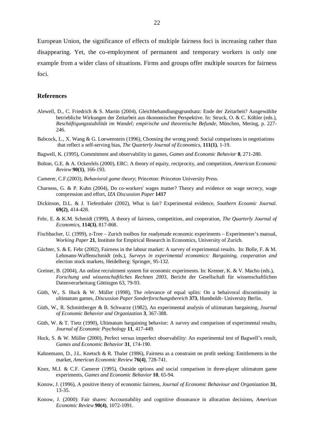European Union, the significance of effects of multiple fairness foci is increasing rather than disappearing. Yet, the co-employment of permanent and temporary workers is only one example from a wider class of situations. Firms and groups offer multiple sources for fairness foci.

#### **References**

- Alewell, D., C. Friedrich & S. Martin (2004), Gleichbehandlungsgrundsatz: Ende der Zeitarbeit? Ausgewählte betriebliche Wirkungen der Zeitarbeit aus ökonomischer Perspektive. In: Struck, O. & C. Köhler (eds.), *Beschäftigungsstabilität im Wandel; empirische und theoretische Befunde*, München, Mering, p. 227- 246.
- Babcock, L., X. Wang & G. Loewenstein (1996), Choosing the wrong pond: Social comparisons in negotiations that reflect a self-serving bias, *The Quarterly Journal of Economics*, **111(1)**, 1-19.
- Bagwell, K. (1995), Commitment and observability in games, *Games and Economic Behavior* **8**, 271-280.
- Bolton, G.E. & A. Ockenfels (2000), ERC: A theory of equity, reciprocity, and competition, *American Economic Review* **90(1)**, 166-193.
- Camerer, C.F.(2003), *Behavioral game theory*; Princeton: Princeton University Press.
- Charness, G. & P. Kuhn (2004), Do co-workers' wages matter? Theory and evidence on wage secrecy, wage compression and effort, *IZA Discussion Paper* **1417**
- Dickinson, D.L. & J. Tiefenthaler (2002), What is fair? Experimental evidence, *Southern Ecoomic Journal*. **69(2)**, 414-428.
- Fehr, E. & K.M. Schmidt (1999), A theory of fairness, competition, and cooperation, *The Quarterly Journal of Economics*, **114(3)**, 817-868.
- Fischbacher, U. (1999), z-Tree Zurich toolbox for readymade economic experiments Experimenter's manual, *Working Paper* **21**, Institute for Empirical Research in Economics, University of Zurich.
- Gächter, S. & E. Fehr (2002), Fairness in the labour market: A survey of experimental results. In: Bolle, F. & M. Lehmann-Waffenschmidt (eds.), *Surveys in experimental economics: Bargaining, cooperation and*  election stock markets, Heidelberg: Springer, 95-132.
- Greiner, B. (2004), An online recruitment system for economic experiments. In: Kremer, K. & V. Macho (eds.), *Forschung und wissenschaftliches Rechnen 2003*, Bericht der Gesellschaft für wissenschaftlichen Datenverarbeitung Göttingen 63, 79-93.
- Güth, W., S. Huck & W. Müller (1998), The relevance of equal splits: On a behaivoral discontinuity in ultimatum games, *Discussion Paper Sonderforschungsbereich* **373**, Humboldt- University Berlin.
- Güth, W., R. Schmittberger & B. Schwarze (1982), An experimental analysis of ultimatum bargaining, *Journal of Economic Behavior and Organization* **3**, 367-388.
- Güth, W. & T. Tietz (1990), Ultimatum bargaining behavior: A survey and comparison of experimental results, *Journal of Economic Psychology* **11**, 417-449.
- Huck, S. & W. Müller (2000), Perfect versus imperfect observability: An experimental test of Bagwell's result, *Games and Economic Behavior* **31**, 174-190.
- Kahnemann, D., J.L. Knetsch & R. Thaler (1986), Fairness as a constraint on profit seeking: Entitlements in the market, *American Economic Review* **76(4)**, 728-741.
- Knez, M.J. & C.F. Camerer (1995), Outside options and social comparison in three-player ultimatum game experiments, *Games and Economic Behavior* **10**, 65-94.
- Konow, J. (1996), A positive theory of economic fairness, *Journal of Economic Behaviour and Organization* **31**, 13-35.
- Konow, J. (2000): Fair shares: Accountability and cognitive dissonance in allocation decisions, *American Economic Review* **90(4)**, 1072-1091.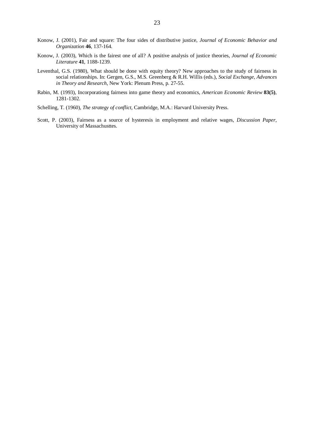- Konow, J. (2001), Fair and square: The four sides of distributive justice, *Journal of Economic Behavior and Organization* **46**, 137-164.
- Konow, J. (2003), Which is the fairest one of all? A positive analysis of justice theories, *Journal of Economic Literature* **41**, 1188-1239.
- Leventhal, G.S. (1980), What should be done with equity theory? New approaches to the study of fairness in social relationships. In: Gergen, G.S., M.S. Greenberg & R.H. Willis (eds.), *Social Exchange, Advances in Theory and Research*, New York: Plenum Press, p. 27-55.
- Rabin, M. (1993), Incorporationg fairness into game theory and economics, *American Economic Review* **83(5)**, 1281-1302.
- Schelling, T. (1960), *The strategy of conflict*, Cambridge, M.A.: Harvard University Press.
- Scott, P. (2003), Fairness as a source of hysteresis in employment and relative wages, *Discussion Paper*, University of Massachusttes.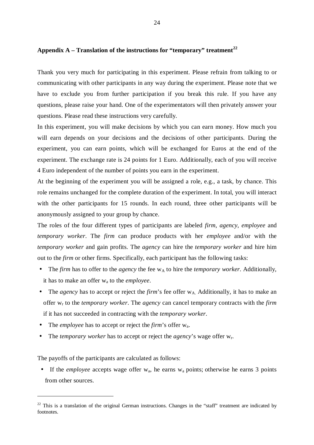## **Appendix A – Translation of the instructions for "temporary" treatment<sup>22</sup>**

Thank you very much for participating in this experiment. Please refrain from talking to or communicating with other participants in any way during the experiment. Please note that we have to exclude you from further participation if you break this rule. If you have any questions, please raise your hand. One of the experimentators will then privately answer your questions. Please read these instructions very carefully.

In this experiment, you will make decisions by which you can earn money. How much you will earn depends on your decisions and the decisions of other participants. During the experiment, you can earn points, which will be exchanged for Euros at the end of the experiment. The exchange rate is 24 points for 1 Euro. Additionally, each of you will receive 4 Euro independent of the number of points you earn in the experiment.

At the beginning of the experiment you will be assigned a role, e.g., a task, by chance. This role remains unchanged for the complete duration of the experiment. In total, you will interact with the other participants for 15 rounds. In each round, three other participants will be anonymously assigned to your group by chance.

The roles of the four different types of participants are labeled *firm*, *agency*, *employee* and *temporary worker*. The *firm* can produce products with her *employee* and/or with the *temporary worker* and gain profits. The *agency* can hire the *temporary worker* and hire him out to the *firm* or other firms. Specifically, each participant has the following tasks:

- The *firm* has to offer to the *agency* the fee  $w_A$  to hire the *temporary worker*. Additionally, it has to make an offer wa to the *employee*.
- The *agency* has to accept or reject the *firm*'s fee offer  $w_A$  Additionally, it has to make an offer wr to the *temporary worker*. The *agency* can cancel temporary contracts with the *firm* if it has not succeeded in contracting with the *temporary worker*.
- The *employee* has to accept or reject the *firm*'s offer wa.
- The *temporary worker* has to accept or reject the *agency*'s wage offer  $w_r$ .

The payoffs of the participants are calculated as follows:

l

• If the *employee* accepts wage offer  $w_a$ , he earns  $w_a$  points; otherwise he earns 3 points from other sources.

<sup>&</sup>lt;sup>22</sup> This is a translation of the original German instructions. Changes in the "staff" treatment are indicated by footnotes.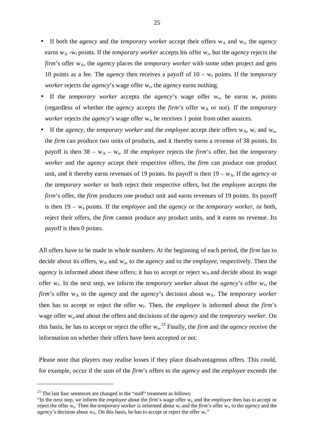- If both the *agency* and the *temporary worker* accept their offers  $w_A$  and  $w_r$ , the *agency* earns w<sub>A</sub> -w<sub>r</sub> points. If the *temporary worker* accepts his offer w<sub>r</sub>, but the *agency* rejects the *firm*'s offer w<sub>A</sub>, the *agency* places the *temporary worker* with some other project and gets 10 points as a fee. The *agency* then receives a payoff of  $10 - w_r$  points. If the *temporary worker* rejects the *agency*'s wage offer w<sub>r</sub>, the *agency* earns nothing.
- If the *temporary worker* accepts the *agency*'s wage offer  $w_r$ , he earns  $w_r$  points (regardless of whether the *agency* accepts the *firm*'s offer  $w_A$  or not). If the *temporary worker* rejects the *agency*'s wage offer w<sub>r</sub>, he receives 1 point from other sources.
- If the *agency*, the *temporary worker* and the *employee* accept their offers  $w_A$ ,  $w_r$  and  $w_a$ , the *firm* can produce two units of products, and it thereby earns a revenue of 38 points. Its payoff is then  $38 - w_A - w_a$ . If the *employee* rejects the *firm*'s offer, but the *temporary worker* and the *agency* accept their respective offers, the *firm* can produce one product unit, and it thereby earns revenues of 19 points. Its payoff is then  $19 - w_A$ . If the *agency* or the *temporary worker* or both reject their respective offers, but the *employee* accepts the *firm*'s offer, the *firm* produces one product unit and earns revenues of 19 points. Its payoff is then 19 – wa points. If the *employee* and the *agency* or the *temporary worker*, or both, reject their offers, the *firm* cannot produce any product units, and it earns no revenue. Its payoff is then 0 points.

All offers have to be made in whole numbers. At the beginning of each period, the *firm* has to decide about its offers, wA and wa, to the *agency* and to the *employee*, respectively. Then the *agency* is informed about these offers; it has to accept or reject w<sub>A</sub> and decide about its wage offer w<sub>r</sub>. In the next step, we inform the *temporary worker* about the *agency*'s offer w<sub>r</sub>, the *firm*'s offer w<sub>A</sub> to the *agency* and the *agency*'s decision about w<sub>A</sub>. The *temporary worker* then has to accept or reject the offer wr. Then, the *employee* is informed about the *firm*'s wage offer wa and about the offers and decisions of the *agency* and the *temporary worker*. On this basis, he has to accept or reject the offer wa. <sup>23</sup> Finally, the *firm* and the *agency* receive the information on whether their offers have been accepted or not.

Please note that players may realise losses if they place disadvantageous offers. This could, for example, occur if the sum of the *firm*'s offers to the *agency* and the *employee* exceeds the

l

 $23$  The last four sentences are changed in the "staff" treatment as follows:

<sup>&</sup>quot;In the next step, we inform the *employee* about the *firm*'s wage offer w<sub>a</sub> and the *employee* then has to accept or reject the offer w<sub>a</sub>. Then the *temporary worker* is informed about w<sub>r</sub> and the *firm*'s offer w<sub>A</sub> to the *agency* and the *agency*'s decision about  $w_A$ . On this basis, he has to accept or reject the offer  $w_r$ ."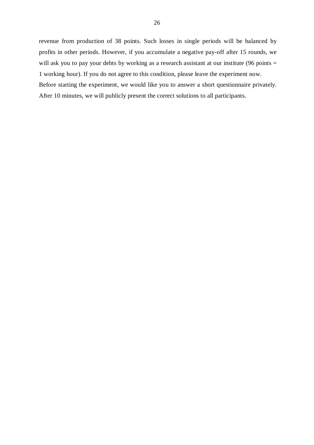revenue from production of 38 points. Such losses in single periods will be balanced by profits in other periods. However, if you accumulate a negative pay-off after 15 rounds, we will ask you to pay your debts by working as a research assistant at our institute (96 points = 1 working hour). If you do not agree to this condition, please leave the experiment now. Before starting the experiment, we would like you to answer a short questionnaire privately. After 10 minutes, we will publicly present the correct solutions to all participants.